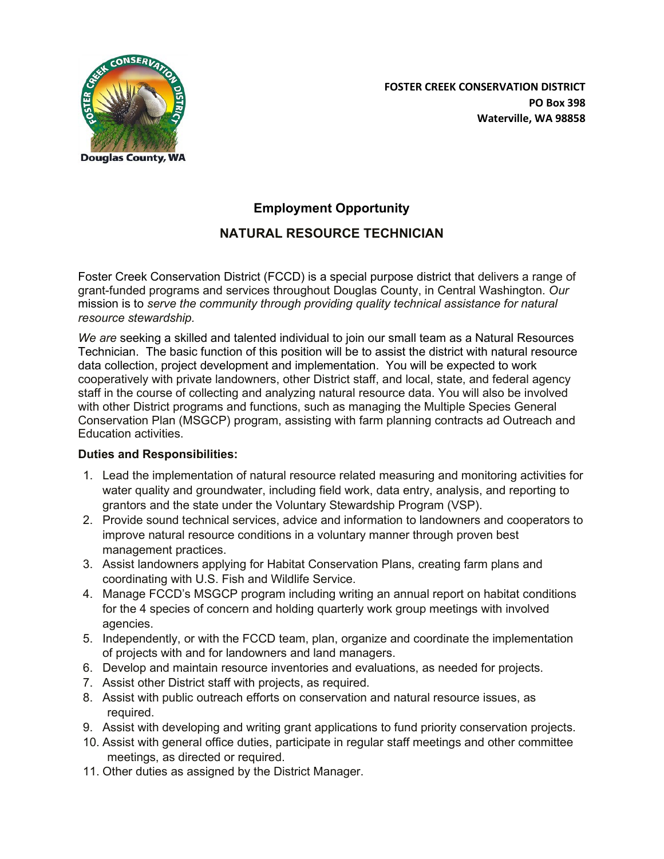

# **Employment Opportunity NATURAL RESOURCE TECHNICIAN**

Foster Creek Conservation District (FCCD) is a special purpose district that delivers a range of grant-funded programs and services throughout Douglas County, in Central Washington. *Our*  mission is to *serve the community through providing quality technical assistance for natural resource stewardship.*

*We are* seeking a skilled and talented individual to join our small team as a Natural Resources Technician. The basic function of this position will be to assist the district with natural resource data collection, project development and implementation. You will be expected to work cooperatively with private landowners, other District staff, and local, state, and federal agency staff in the course of collecting and analyzing natural resource data. You will also be involved with other District programs and functions, such as managing the Multiple Species General Conservation Plan (MSGCP) program, assisting with farm planning contracts ad Outreach and Education activities.

## **Duties and Responsibilities:**

- 1. Lead the implementation of natural resource related measuring and monitoring activities for water quality and groundwater, including field work, data entry, analysis, and reporting to grantors and the state under the Voluntary Stewardship Program (VSP).
- 2. Provide sound technical services, advice and information to landowners and cooperators to improve natural resource conditions in a voluntary manner through proven best management practices.
- 3. Assist landowners applying for Habitat Conservation Plans, creating farm plans and coordinating with U.S. Fish and Wildlife Service.
- 4. Manage FCCD's MSGCP program including writing an annual report on habitat conditions for the 4 species of concern and holding quarterly work group meetings with involved agencies.
- 5. Independently, or with the FCCD team, plan, organize and coordinate the implementation of projects with and for landowners and land managers.
- 6. Develop and maintain resource inventories and evaluations, as needed for projects.
- 7. Assist other District staff with projects, as required.
- 8. Assist with public outreach efforts on conservation and natural resource issues, as required.
- 9. Assist with developing and writing grant applications to fund priority conservation projects.
- 10. Assist with general office duties, participate in regular staff meetings and other committee meetings, as directed or required.
- 11. Other duties as assigned by the District Manager.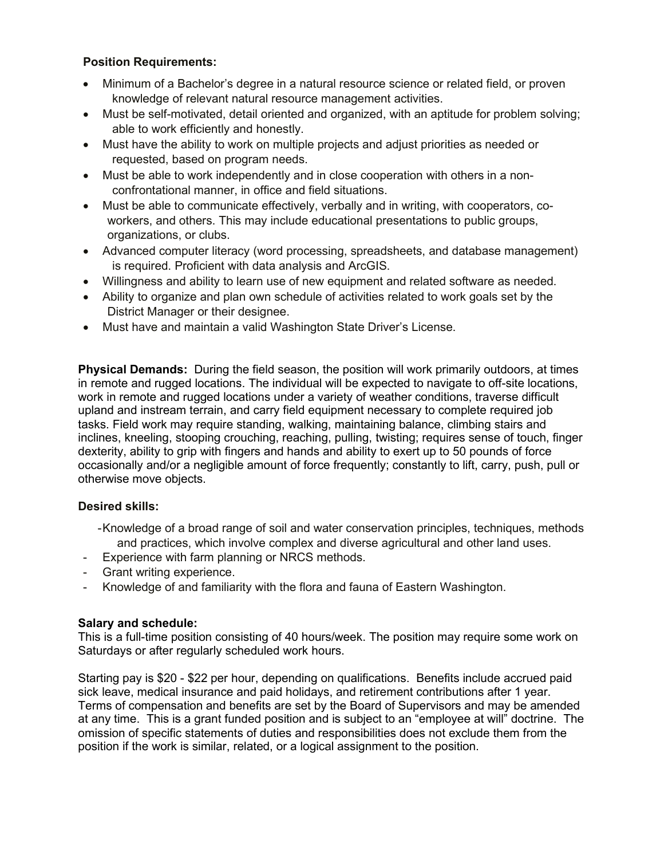### **Position Requirements:**

- Minimum of a Bachelor's degree in a natural resource science or related field, or proven knowledge of relevant natural resource management activities.
- Must be self-motivated, detail oriented and organized, with an aptitude for problem solving; able to work efficiently and honestly.
- Must have the ability to work on multiple projects and adjust priorities as needed or requested, based on program needs.
- Must be able to work independently and in close cooperation with others in a nonconfrontational manner, in office and field situations.
- Must be able to communicate effectively, verbally and in writing, with cooperators, coworkers, and others. This may include educational presentations to public groups, organizations, or clubs.
- Advanced computer literacy (word processing, spreadsheets, and database management) is required. Proficient with data analysis and ArcGIS.
- Willingness and ability to learn use of new equipment and related software as needed.
- Ability to organize and plan own schedule of activities related to work goals set by the District Manager or their designee.
- Must have and maintain a valid Washington State Driver's License.

**Physical Demands:** During the field season, the position will work primarily outdoors, at times in remote and rugged locations. The individual will be expected to navigate to off-site locations, work in remote and rugged locations under a variety of weather conditions, traverse difficult upland and instream terrain, and carry field equipment necessary to complete required job tasks. Field work may require standing, walking, maintaining balance, climbing stairs and inclines, kneeling, stooping crouching, reaching, pulling, twisting; requires sense of touch, finger dexterity, ability to grip with fingers and hands and ability to exert up to 50 pounds of force occasionally and/or a negligible amount of force frequently; constantly to lift, carry, push, pull or otherwise move objects.

#### **Desired skills:**

- Knowledge of a broad range of soil and water conservation principles, techniques, methods and practices, which involve complex and diverse agricultural and other land uses.
- Experience with farm planning or NRCS methods.
- Grant writing experience.
- Knowledge of and familiarity with the flora and fauna of Eastern Washington.

#### **Salary and schedule:**

This is a full-time position consisting of 40 hours/week. The position may require some work on Saturdays or after regularly scheduled work hours.

Starting pay is \$20 - \$22 per hour, depending on qualifications. Benefits include accrued paid sick leave, medical insurance and paid holidays, and retirement contributions after 1 year. Terms of compensation and benefits are set by the Board of Supervisors and may be amended at any time. This is a grant funded position and is subject to an "employee at will" doctrine. The omission of specific statements of duties and responsibilities does not exclude them from the position if the work is similar, related, or a logical assignment to the position.